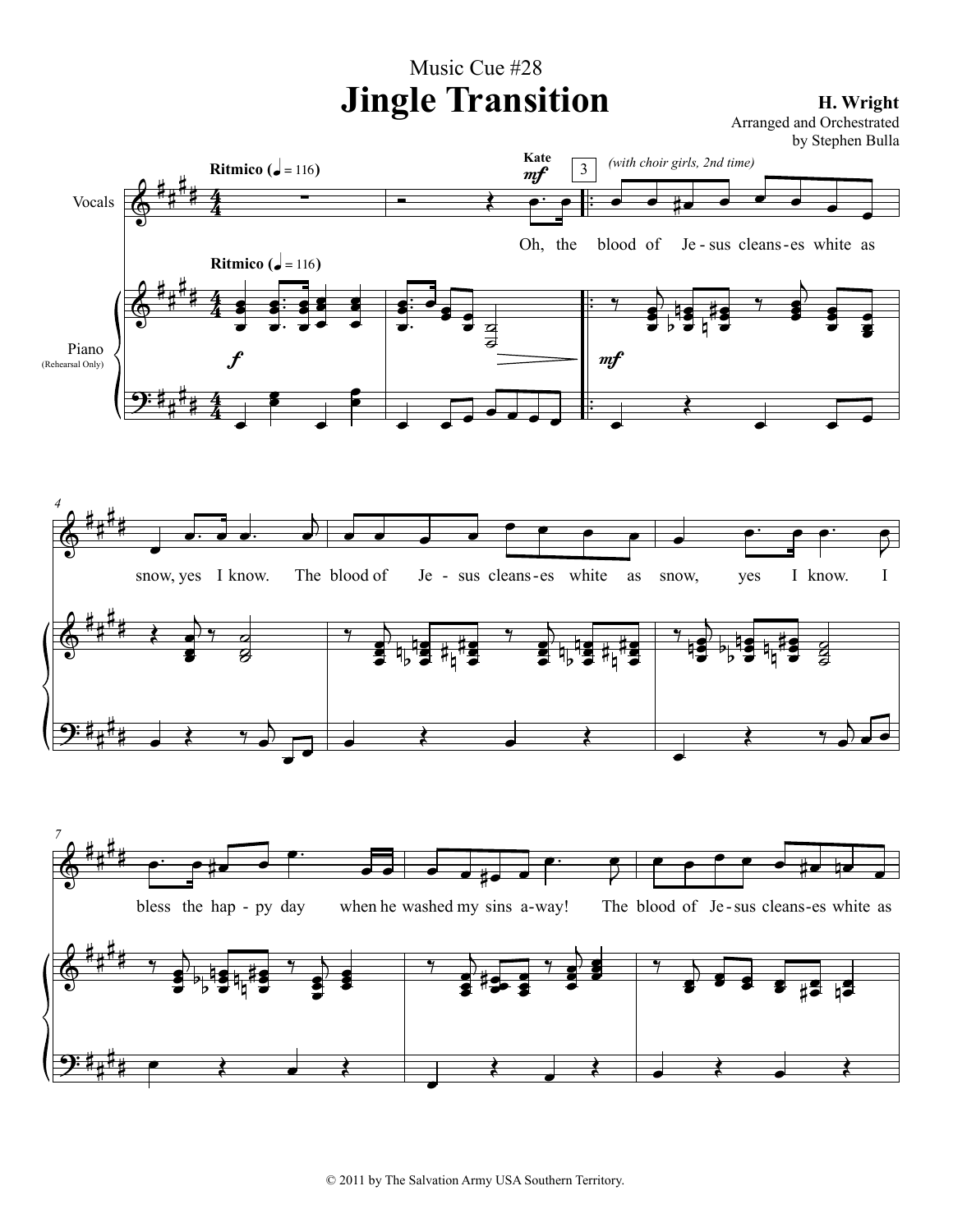## $\Phi$  $\pmb{\Phi}$ <u>ș.</u> ## ## ## #<br>## ## ## 4 4 4 4 4 4 . . . . Vocals  $\overline{\bigoplus_{p}^{\frac{1}{2}+\frac{1}{2}}\frac{4}{4}}$   $-\qquad-\qquad-\qquad$ Piano (Rehearsal Only) ∑ œœ  $\frac{1}{\sigma}$  . . . œœ œ œœ œ œœ œ œœ œ œ œœ œ œ œ **Ritmico** ( $\overrightarrow{q}$  = 116) f **Ritmico** ( $\sqrt{=}$  = 116)  $\overrightarrow{c}$ Oh, the . . . œœ œ  $\bullet$  $\bullet$   $\overline{c}$ ٍ<br>ا  $\overrightarrow{e}$ **Kate**  $m f$ <sup>œ</sup> <sup>œ</sup> #œ <sup>œ</sup> <sup>œ</sup> <sup>œ</sup> <sup>œ</sup> <sup>œ</sup> blood of Je-sus cleans-es white as  $\gamma$ œœ ē<br>O œœ ē<br>O n **b** e 13 ě<br>O # n  $\overrightarrow{y}$  $\overrightarrow{ }$ ة<br>P œ e<br>E œ Œ  $\overrightarrow{e}$ 3  $m f$ *(with choir girls, 2nd time)*  $\Phi$  $\Phi$ <u>ș.</u> ## ## ## ## ## ## *4*  $\overline{\phantom{a}}$ œ. <sup>œ</sup> œ. <sup>j</sup> œ snow, yes I know. The blood of  $\leftarrow$ œ e<br>C  $rac{q}{\sigma}$  $\bf{g}$  $\frac{1}{\sqrt{2}}$ œ  $\frac{1}{\sqrt{2}}$ œ œ œ œ œ œ œ œ blood of Je - sus cleans - es white as  $\gamma$  $\overline{\phantom{a}}$ ë<br>J  $\blacksquare$ ë<br>J n b ▅▅▅▅▅▅▅▅▅<br><mark>ਮ੍ਰਾਪਤ</mark> ਮ<sub>ਮ</sub>ਿਤ ë<br>P # n #  $\gamma$  ) œœ ë<br>J œœ ë<br>P n b <del>▃▕▗▗▏▕▁▁▗▏</del><br><sup>ਮ</sup>╷▝*▊*▕<sup></sup>╫╷╫</sup>*▊* ë<br>V # n #  $\bullet$   $\bullet$   $\bullet$  $\bullet$   $\bullet$   $\bullet$   $\bullet$ œ snow, yes I know. I  $\frac{2}{1}$ œœ ë<br>V  $\frac{1}{2}$  by  $\frac{1}{2}$ ë<br>J n b  $\frac{1}{2}$ ë<br>J # n <u>म#</u>∎<br>‼ ट  $\boldsymbol{z}$ œ  $\leftarrow$  $\rightarrow$  $\pmb{\Phi}$ #<br>## ## *7* <u>e∵ e#ø ø</u>  $\overrightarrow{e}$ bless the hap - py day œ œ #œ œ  $\begin{array}{c} \bullet \\ \bullet \\ \bullet \end{array}$ œ - py day when he washed my sins a-way! The blood of Je-sus cleans<sup>œ</sup> <sup>œ</sup> <sup>œ</sup> <sup>œ</sup> <sup>œ</sup> #œ nœ <sup>œ</sup> The blood of Je-sus cleans-es white as Music Cue #28 **Jingle Transition H. Wright** Arranged and Orchestrated by Stephen Bulla



© 2011 by The Salvation Army USA Southern Territory.